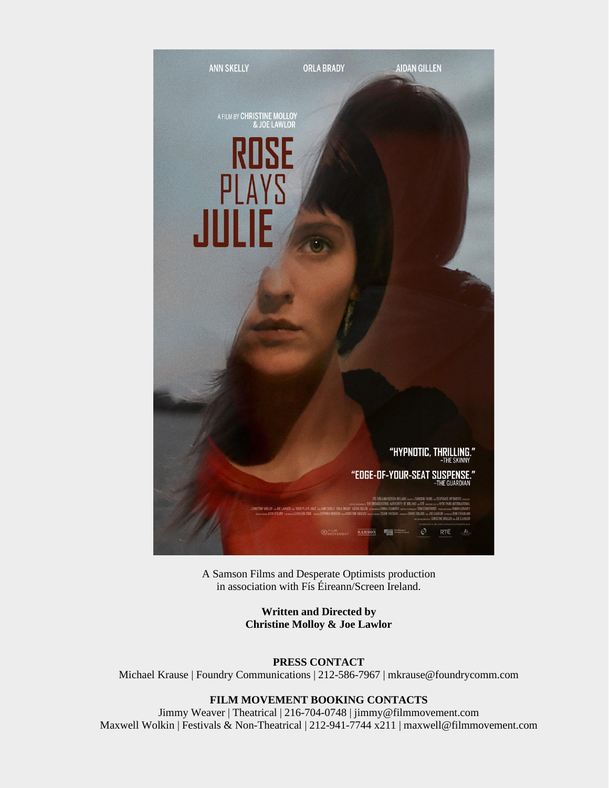

A Samson Films and Desperate Optimists production in association with Fís Éireann/Screen Ireland.

> **Written and Directed by Christine Molloy & Joe Lawlor**

#### **PRESS CONTACT**

Michael Krause | Foundry Communications | 212-586-7967 | mkrause@foundrycomm.com

#### **FILM MOVEMENT BOOKING CONTACTS**

Jimmy Weaver | Theatrical | 216-704-0748 | jimmy@filmmovement.com Maxwell Wolkin | Festivals & Non-Theatrical | 212-941-7744 x211 | maxwell@filmmovement.com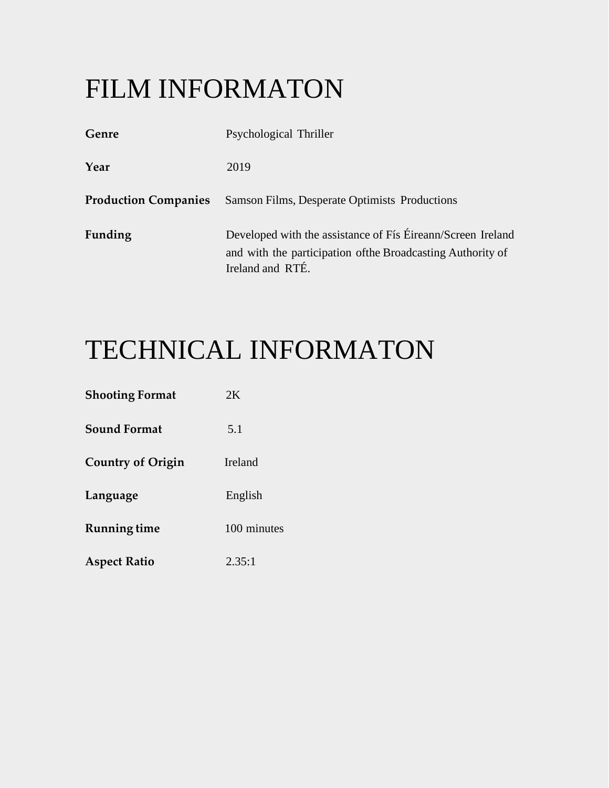### FILM INFORMATON

| Genre                       | Psychological Thriller                                                                                                                         |
|-----------------------------|------------------------------------------------------------------------------------------------------------------------------------------------|
| Year                        | 2019                                                                                                                                           |
| <b>Production Companies</b> | <b>Samson Films, Desperate Optimists Productions</b>                                                                                           |
| Funding                     | Developed with the assistance of Fís Éireann/Screen Ireland<br>and with the participation of the Broadcasting Authority of<br>Ireland and RTÉ. |

### TECHNICAL INFORMATON

| <b>Shooting Format</b>   | 2K          |
|--------------------------|-------------|
| <b>Sound Format</b>      | 5.1         |
| <b>Country of Origin</b> | Ireland     |
| Language                 | English     |
| <b>Running time</b>      | 100 minutes |
| <b>Aspect Ratio</b>      | 2.35:1      |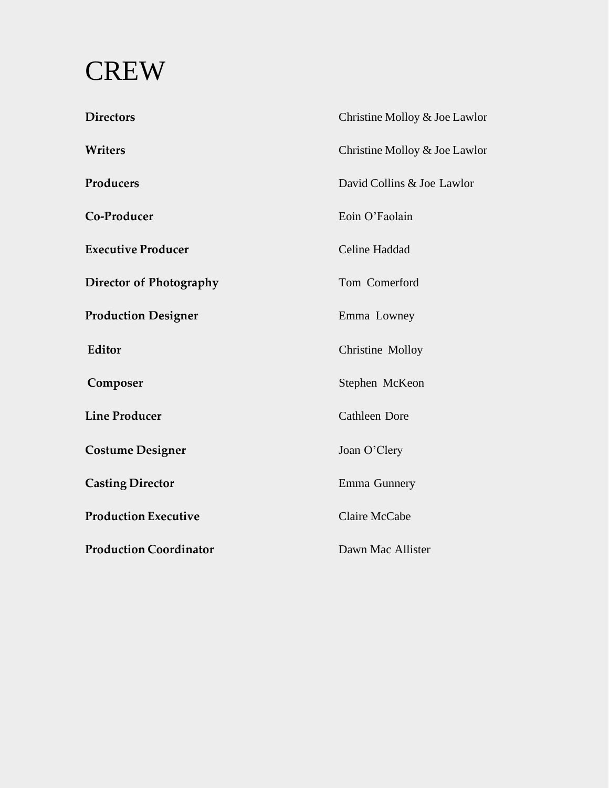#### **CREW**

| <b>Directors</b>              | Christine Molloy & Joe Lawlor |
|-------------------------------|-------------------------------|
| Writers                       | Christine Molloy & Joe Lawlor |
| Producers                     | David Collins & Joe Lawlor    |
| Co-Producer                   | Eoin O'Faolain                |
| <b>Executive Producer</b>     | Celine Haddad                 |
| Director of Photography       | Tom Comerford                 |
| <b>Production Designer</b>    | Emma Lowney                   |
| Editor                        | <b>Christine Molloy</b>       |
| Composer                      | Stephen McKeon                |
| <b>Line Producer</b>          | <b>Cathleen Dore</b>          |
| <b>Costume Designer</b>       | Joan O'Clery                  |
| <b>Casting Director</b>       | Emma Gunnery                  |
| <b>Production Executive</b>   | Claire McCabe                 |
| <b>Production Coordinator</b> | Dawn Mac Allister             |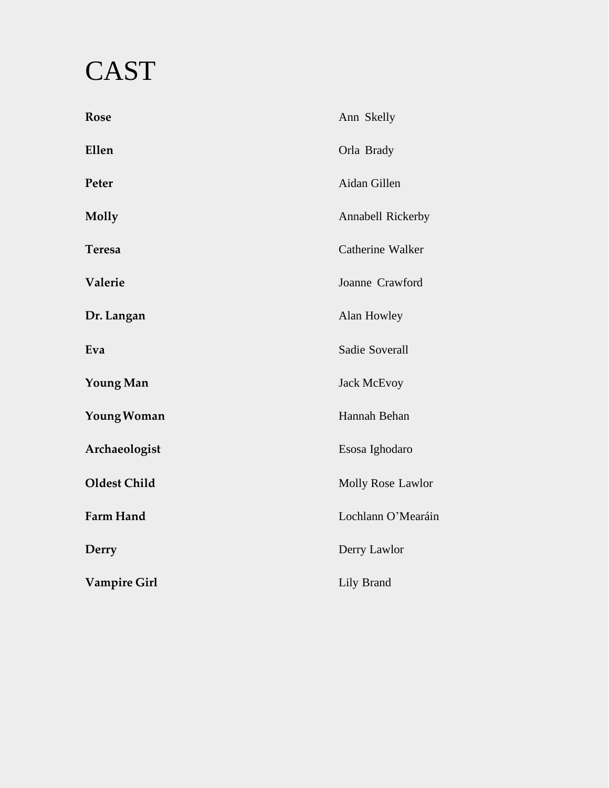## **CAST**

| Rose                | Ann Skelly         |
|---------------------|--------------------|
| Ellen               | Orla Brady         |
| Peter               | Aidan Gillen       |
| Molly               | Annabell Rickerby  |
| Teresa              | Catherine Walker   |
| Valerie             | Joanne Crawford    |
| Dr. Langan          | Alan Howley        |
| Eva                 | Sadie Soverall     |
| <b>Young Man</b>    | <b>Jack McEvoy</b> |
| Young Woman         | Hannah Behan       |
| Archaeologist       | Esosa Ighodaro     |
| Oldest Child        | Molly Rose Lawlor  |
| Farm Hand           | Lochlann O'Mearáin |
| Derry               | Derry Lawlor       |
| <b>Vampire Girl</b> | Lily Brand         |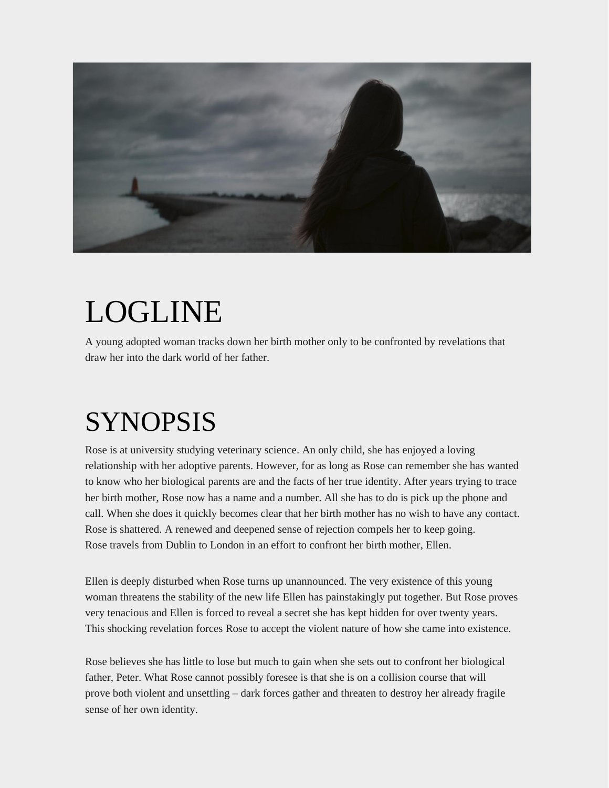

# LOGLINE

A young adopted woman tracks down her birth mother only to be confronted by revelations that draw her into the dark world of her father.

### SYNOPSIS

Rose is at university studying veterinary science. An only child, she has enjoyed a loving relationship with her adoptive parents. However, for as long as Rose can remember she has wanted to know who her biological parents are and the facts of her true identity. After years trying to trace her birth mother, Rose now has a name and a number. All she has to do is pick up the phone and call. When she does it quickly becomes clear that her birth mother has no wish to have any contact. Rose is shattered. A renewed and deepened sense of rejection compels her to keep going. Rose travels from Dublin to London in an effort to confront her birth mother, Ellen.

Ellen is deeply disturbed when Rose turns up unannounced. The very existence of this young woman threatens the stability of the new life Ellen has painstakingly put together. But Rose proves very tenacious and Ellen is forced to reveal a secret she has kept hidden for over twenty years. This shocking revelation forces Rose to accept the violent nature of how she came into existence.

Rose believes she has little to lose but much to gain when she sets out to confront her biological father, Peter. What Rose cannot possibly foresee is that she is on a collision course that will prove both violent and unsettling – dark forces gather and threaten to destroy her already fragile sense of her own identity.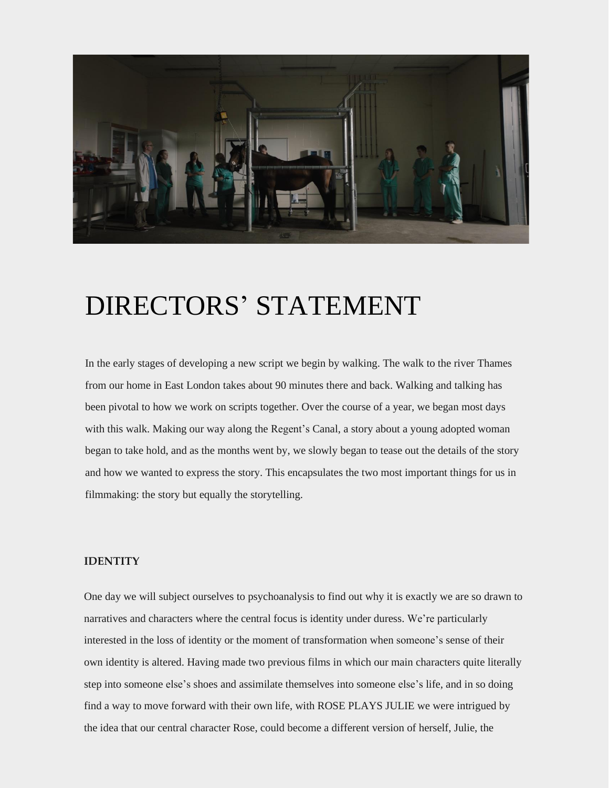

### DIRECTORS' STATEMENT

In the early stages of developing a new script we begin by walking. The walk to the river Thames from our home in East London takes about 90 minutes there and back. Walking and talking has been pivotal to how we work on scripts together. Over the course of a year, we began most days with this walk. Making our way along the Regent's Canal, a story about a young adopted woman began to take hold, and as the months went by, we slowly began to tease out the details of the story and how we wanted to express the story. This encapsulates the two most important things for us in filmmaking: the story but equally the storytelling.

#### **IDENTITY**

One day we will subject ourselves to psychoanalysis to find out why it is exactly we are so drawn to narratives and characters where the central focus is identity under duress. We're particularly interested in the loss of identity or the moment of transformation when someone's sense of their own identity is altered. Having made two previous films in which our main characters quite literally step into someone else's shoes and assimilate themselves into someone else's life, and in so doing find a way to move forward with their own life, with ROSE PLAYS JULIE we were intrigued by the idea that our central character Rose, could become a different version of herself, Julie, the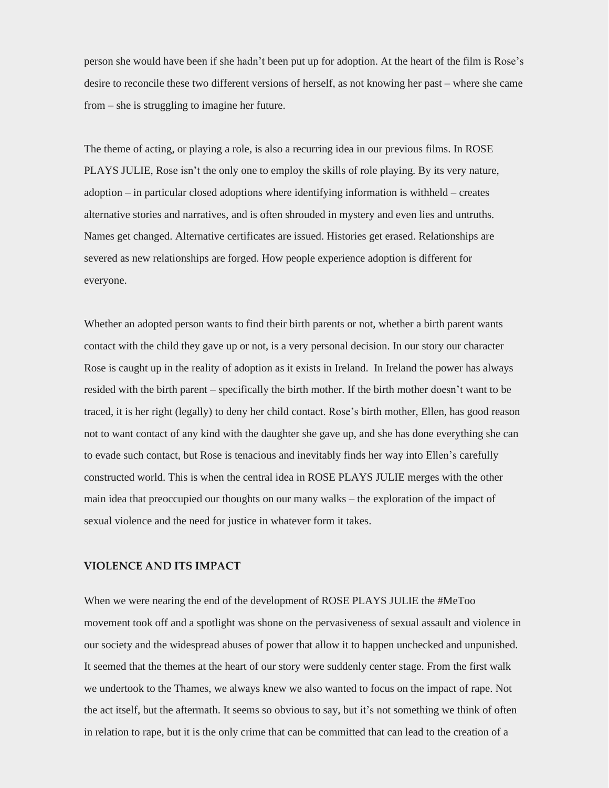person she would have been if she hadn't been put up for adoption. At the heart of the film is Rose's desire to reconcile these two different versions of herself, as not knowing her past – where she came from – she is struggling to imagine her future.

The theme of acting, or playing a role, is also a recurring idea in our previous films. In ROSE PLAYS JULIE, Rose isn't the only one to employ the skills of role playing. By its very nature, adoption – in particular closed adoptions where identifying information is withheld – creates alternative stories and narratives, and is often shrouded in mystery and even lies and untruths. Names get changed. Alternative certificates are issued. Histories get erased. Relationships are severed as new relationships are forged. How people experience adoption is different for everyone.

Whether an adopted person wants to find their birth parents or not, whether a birth parent wants contact with the child they gave up or not, is a very personal decision. In our story our character Rose is caught up in the reality of adoption as it exists in Ireland. In Ireland the power has always resided with the birth parent – specifically the birth mother. If the birth mother doesn't want to be traced, it is her right (legally) to deny her child contact. Rose's birth mother, Ellen, has good reason not to want contact of any kind with the daughter she gave up, and she has done everything she can to evade such contact, but Rose is tenacious and inevitably finds her way into Ellen's carefully constructed world. This is when the central idea in ROSE PLAYS JULIE merges with the other main idea that preoccupied our thoughts on our many walks – the exploration of the impact of sexual violence and the need for justice in whatever form it takes.

#### **VIOLENCE AND ITS IMPACT**

When we were nearing the end of the development of ROSE PLAYS JULIE the #MeToo movement took off and a spotlight was shone on the pervasiveness of sexual assault and violence in our society and the widespread abuses of power that allow it to happen unchecked and unpunished. It seemed that the themes at the heart of our story were suddenly center stage. From the first walk we undertook to the Thames, we always knew we also wanted to focus on the impact of rape. Not the act itself, but the aftermath. It seems so obvious to say, but it's not something we think of often in relation to rape, but it is the only crime that can be committed that can lead to the creation of a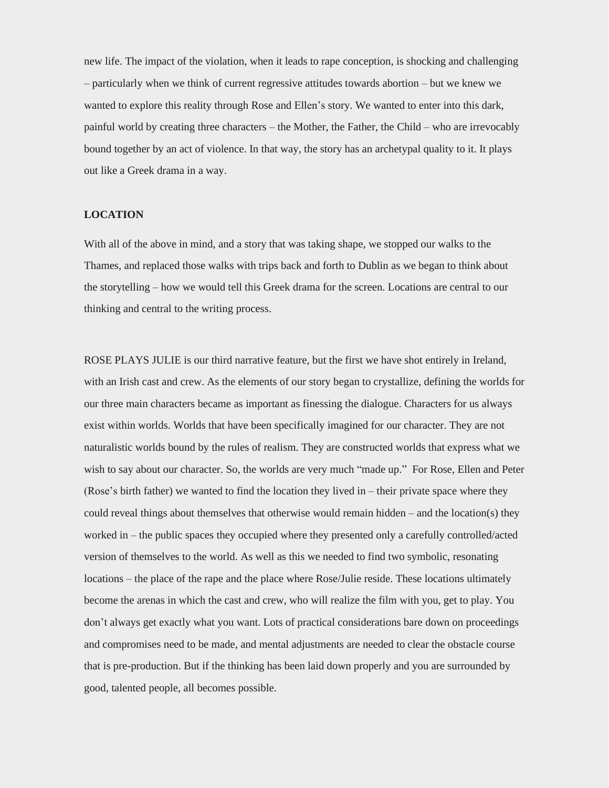new life. The impact of the violation, when it leads to rape conception, is shocking and challenging – particularly when we think of current regressive attitudes towards abortion – but we knew we wanted to explore this reality through Rose and Ellen's story. We wanted to enter into this dark, painful world by creating three characters – the Mother, the Father, the Child – who are irrevocably bound together by an act of violence. In that way, the story has an archetypal quality to it. It plays out like a Greek drama in a way.

#### **LOCATION**

With all of the above in mind, and a story that was taking shape, we stopped our walks to the Thames, and replaced those walks with trips back and forth to Dublin as we began to think about the storytelling – how we would tell this Greek drama for the screen. Locations are central to our thinking and central to the writing process.

ROSE PLAYS JULIE is our third narrative feature, but the first we have shot entirely in Ireland, with an Irish cast and crew. As the elements of our story began to crystallize, defining the worlds for our three main characters became as important as finessing the dialogue. Characters for us always exist within worlds. Worlds that have been specifically imagined for our character. They are not naturalistic worlds bound by the rules of realism. They are constructed worlds that express what we wish to say about our character. So, the worlds are very much "made up." For Rose, Ellen and Peter (Rose's birth father) we wanted to find the location they lived in – their private space where they could reveal things about themselves that otherwise would remain hidden – and the location(s) they worked in – the public spaces they occupied where they presented only a carefully controlled/acted version of themselves to the world. As well as this we needed to find two symbolic, resonating locations – the place of the rape and the place where Rose/Julie reside. These locations ultimately become the arenas in which the cast and crew, who will realize the film with you, get to play. You don't always get exactly what you want. Lots of practical considerations bare down on proceedings and compromises need to be made, and mental adjustments are needed to clear the obstacle course that is pre-production. But if the thinking has been laid down properly and you are surrounded by good, talented people, all becomes possible.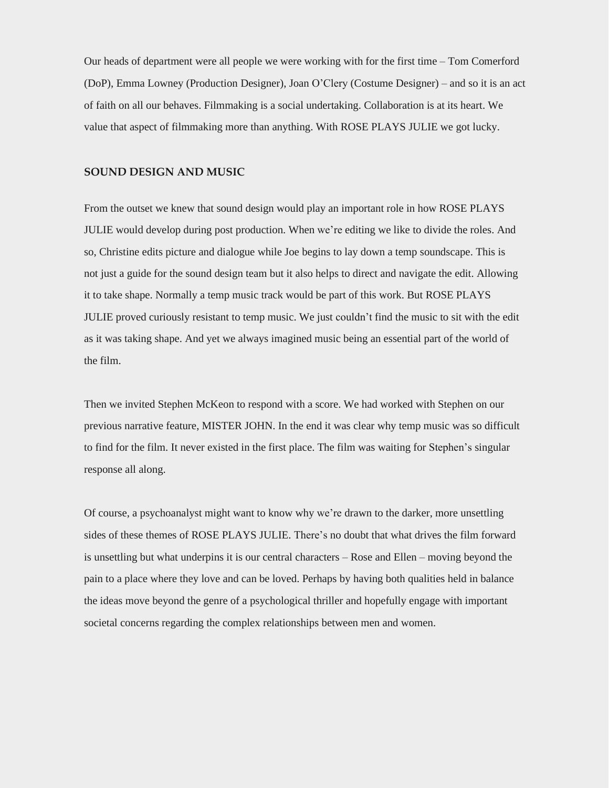Our heads of department were all people we were working with for the first time – Tom Comerford (DoP), Emma Lowney (Production Designer), Joan O'Clery (Costume Designer) – and so it is an act of faith on all our behaves. Filmmaking is a social undertaking. Collaboration is at its heart. We value that aspect of filmmaking more than anything. With ROSE PLAYS JULIE we got lucky.

#### **SOUND DESIGN AND MUSIC**

From the outset we knew that sound design would play an important role in how ROSE PLAYS JULIE would develop during post production. When we're editing we like to divide the roles. And so, Christine edits picture and dialogue while Joe begins to lay down a temp soundscape. This is not just a guide for the sound design team but it also helps to direct and navigate the edit. Allowing it to take shape. Normally a temp music track would be part of this work. But ROSE PLAYS JULIE proved curiously resistant to temp music. We just couldn't find the music to sit with the edit as it was taking shape. And yet we always imagined music being an essential part of the world of the film.

Then we invited Stephen McKeon to respond with a score. We had worked with Stephen on our previous narrative feature, MISTER JOHN. In the end it was clear why temp music was so difficult to find for the film. It never existed in the first place. The film was waiting for Stephen's singular response all along.

Of course, a psychoanalyst might want to know why we're drawn to the darker, more unsettling sides of these themes of ROSE PLAYS JULIE. There's no doubt that what drives the film forward is unsettling but what underpins it is our central characters – Rose and Ellen – moving beyond the pain to a place where they love and can be loved. Perhaps by having both qualities held in balance the ideas move beyond the genre of a psychological thriller and hopefully engage with important societal concerns regarding the complex relationships between men and women.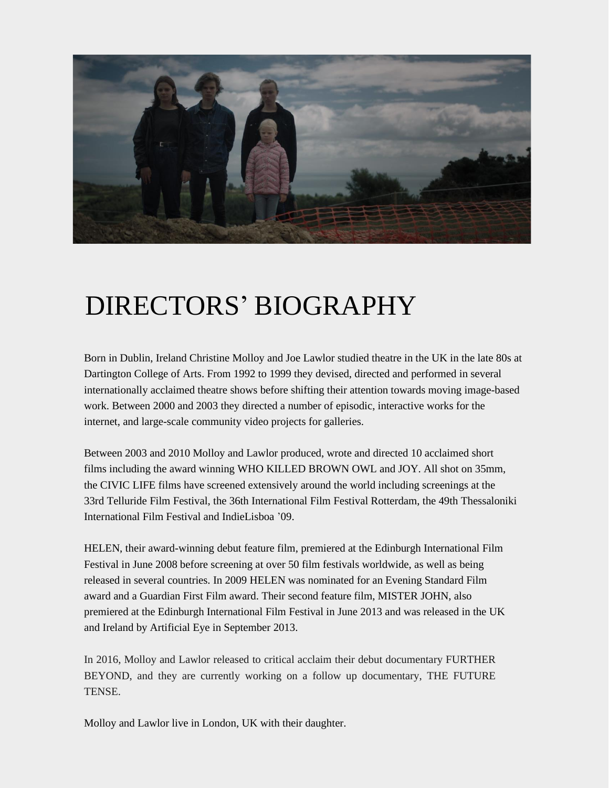

### DIRECTORS' BIOGRAPHY

Born in Dublin, Ireland Christine Molloy and Joe Lawlor studied theatre in the UK in the late 80s at Dartington College of Arts. From 1992 to 1999 they devised, directed and performed in several internationally acclaimed theatre shows before shifting their attention towards moving image-based work. Between 2000 and 2003 they directed a number of episodic, interactive works for the internet, and large-scale community video projects for galleries.

Between 2003 and 2010 Molloy and Lawlor produced, wrote and directed 10 acclaimed short films including the award winning WHO KILLED BROWN OWL and JOY. All shot on 35mm, the CIVIC LIFE films have screened extensively around the world including screenings at the 33rd Telluride Film Festival, the 36th International Film Festival Rotterdam, the 49th Thessaloniki International Film Festival and IndieLisboa '09.

HELEN, their award-winning debut feature film, premiered at the Edinburgh International Film Festival in June 2008 before screening at over 50 film festivals worldwide, as well as being released in several countries. In 2009 HELEN was nominated for an Evening Standard Film award and a Guardian First Film award. Their second feature film, MISTER JOHN, also premiered at the Edinburgh International Film Festival in June 2013 and was released in the UK and Ireland by Artificial Eye in September 2013.

In 2016, Molloy and Lawlor released to critical acclaim their debut documentary FURTHER BEYOND, and they are currently working on a follow up documentary, THE FUTURE TENSE.

Molloy and Lawlor live in London, UK with their daughter.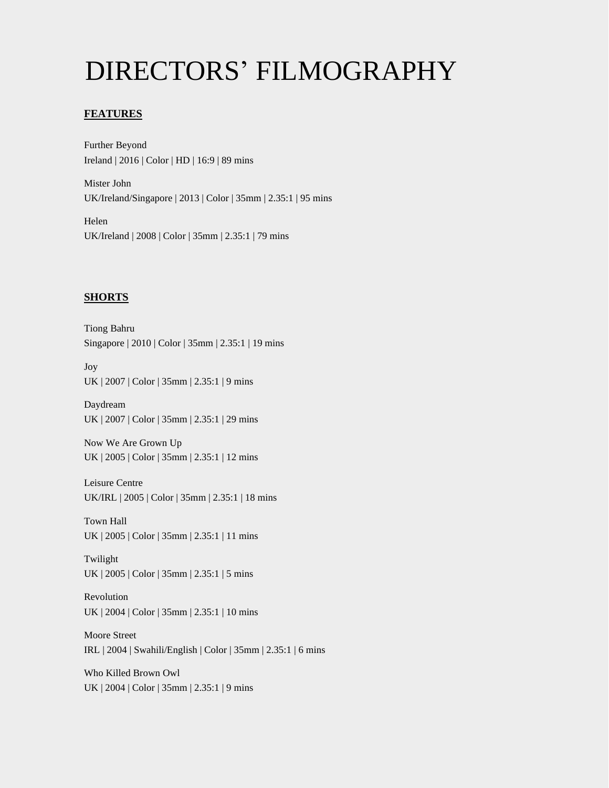### DIRECTORS' FILMOGRAPHY

#### **FEATURES**

Further Beyond Ireland | 2016 | Color | HD | 16:9 | 89 mins

Mister John UK/Ireland/Singapore | 2013 | Color | 35mm | 2.35:1 | 95 mins

Helen UK/Ireland | 2008 | Color | 35mm | 2.35:1 | 79 mins

#### **SHORTS**

Tiong Bahru Singapore | 2010 | Color | 35mm | 2.35:1 | 19 mins

Joy UK | 2007 | Color | 35mm | 2.35:1 | 9 mins

Daydream UK | 2007 | Color | 35mm | 2.35:1 | 29 mins

Now We Are Grown Up UK | 2005 | Color | 35mm | 2.35:1 | 12 mins

Leisure Centre UK/IRL | 2005 | Color | 35mm | 2.35:1 | 18 mins

Town Hall UK | 2005 | Color | 35mm | 2.35:1 | 11 mins

Twilight UK | 2005 | Color | 35mm | 2.35:1 | 5 mins

Revolution UK | 2004 | Color | 35mm | 2.35:1 | 10 mins

Moore Street IRL | 2004 | Swahili/English | Color | 35mm | 2.35:1 | 6 mins

Who Killed Brown Owl UK | 2004 | Color | 35mm | 2.35:1 | 9 mins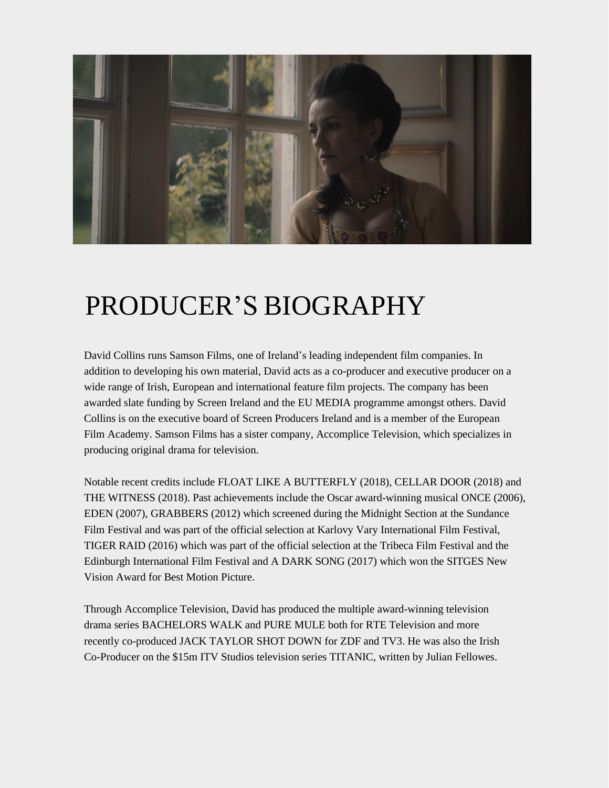

### PRODUCER'S BIOGRAPHY

David Collins runs Samson Films, one of Ireland's leading independent film companies. In addition to developing his own material, David acts as a co-producer and executive producer on a wide range of Irish, European and international feature film projects. The company has been awarded slate funding by Screen Ireland and the EU MEDIA programme amongst others. David Collins is on the executive board of Screen Producers Ireland and is a member of the European Film Academy. Samson Films has a sister company, Accomplice Television, which specializes in producing original drama for television.

Notable recent credits include FLOAT LIKE A BUTTERFLY (2018), CELLAR DOOR (2018) and THE WITNESS (2018). Past achievements include the Oscar award-winning musical ONCE (2006), EDEN (2007), GRABBERS (2012) which screened during the Midnight Section at the Sundance Film Festival and was part of the official selection at Karlovy Vary International Film Festival, TIGER RAID (2016) which was part of the official selection at the Tribeca Film Festival and the Edinburgh International Film Festival and A DARK SONG (2017) which won the SITGES New Vision Award for Best Motion Picture.

Through Accomplice Television, David has produced the multiple award-winning television drama series BACHELORS WALK and PURE MULE both for RTE Television and more recently co-produced JACK TAYLOR SHOT DOWN for ZDF and TV3. He was also the Irish Co-Producer on the \$15m ITV Studios television series TITANIC, written by Julian Fellowes.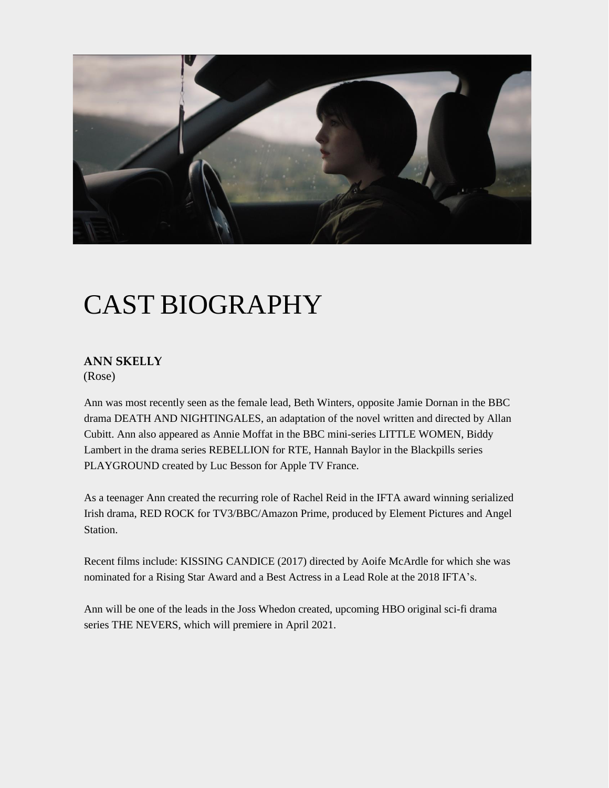

### CAST BIOGRAPHY

#### **ANN SKELLY**

(Rose)

Ann was most recently seen as the female lead, Beth Winters, opposite Jamie Dornan in the BBC drama DEATH AND NIGHTINGALES, an adaptation of the novel written and directed by Allan Cubitt. Ann also appeared as Annie Moffat in the BBC mini-series LITTLE WOMEN, Biddy Lambert in the drama series REBELLION for RTE, Hannah Baylor in the Blackpills series PLAYGROUND created by Luc Besson for Apple TV France.

As a teenager Ann created the recurring role of Rachel Reid in the IFTA award winning serialized Irish drama, RED ROCK for TV3/BBC/Amazon Prime, produced by Element Pictures and Angel Station.

Recent films include: KISSING CANDICE (2017) directed by Aoife McArdle for which she was nominated for a Rising Star Award and a Best Actress in a Lead Role at the 2018 IFTA's.

Ann will be one of the leads in the Joss Whedon created, upcoming HBO original sci-fi drama series THE NEVERS, which will premiere in April 2021.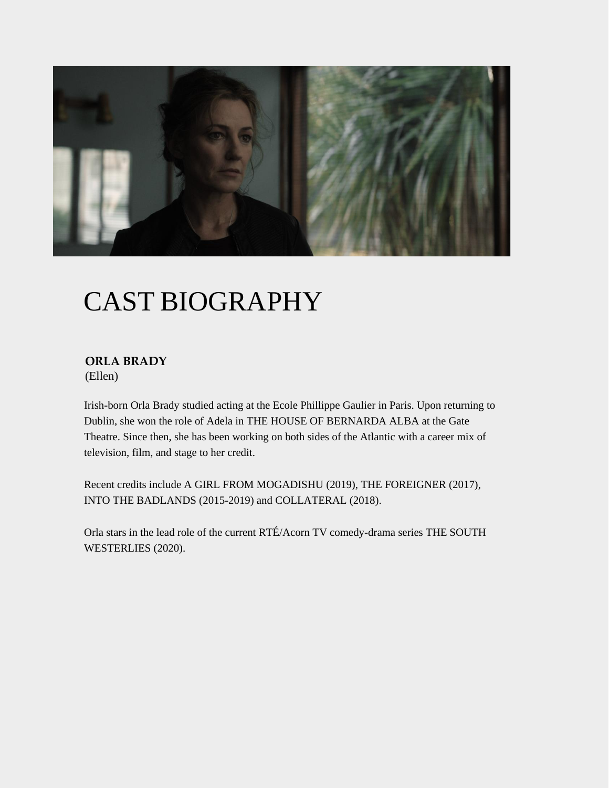

#### CAST BIOGRAPHY

#### **ORLA BRADY** (Ellen)

Irish-born Orla Brady studied acting at the Ecole Phillippe Gaulier in Paris. Upon returning to Dublin, she won the role of Adela in THE HOUSE OF BERNARDA ALBA at the Gate Theatre. Since then, she has been working on both sides of the Atlantic with a career mix of television, film, and stage to her credit.

Recent credits include A GIRL FROM MOGADISHU (2019), THE FOREIGNER (2017), INTO THE BADLANDS (2015-2019) and COLLATERAL (2018).

Orla stars in the lead role of the current RTÉ/Acorn TV comedy-drama series THE SOUTH WESTERLIES (2020).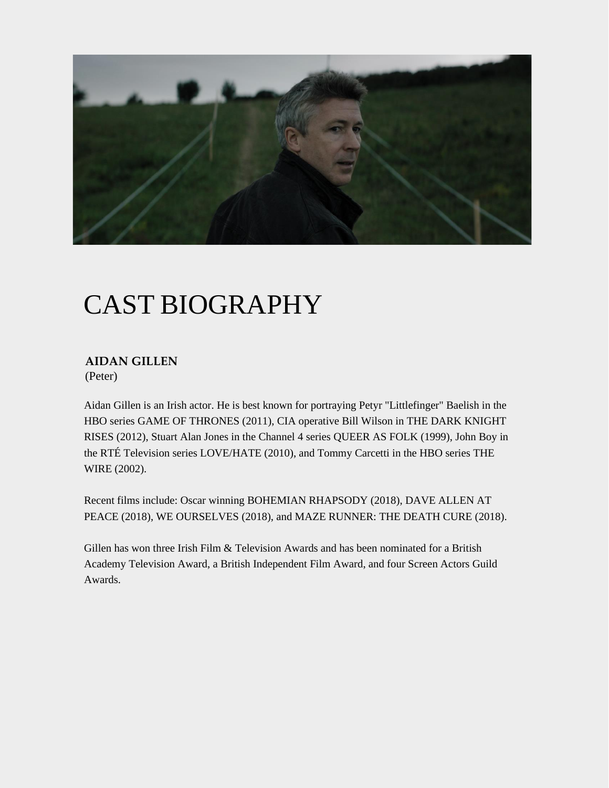

### CAST BIOGRAPHY

#### **AIDAN GILLEN** (Peter)

Aidan Gillen is an Irish actor. He is best known for portraying Petyr "Littlefinger" Baelish in the HBO series GAME OF THRONES (2011), CIA operative Bill Wilson in THE DARK KNIGHT RISES (2012), Stuart Alan Jones in the Channel 4 series QUEER AS FOLK (1999), John Boy in the RTÉ Television series LOVE/HATE (2010), and Tommy Carcetti in the HBO series THE WIRE (2002).

Recent films include: Oscar winning BOHEMIAN RHAPSODY (2018), DAVE ALLEN AT PEACE (2018), WE OURSELVES (2018), and MAZE RUNNER: THE DEATH CURE (2018).

Gillen has won three Irish Film & Television Awards and has been nominated for a British Academy Television Award, a British Independent Film Award, and four Screen Actors Guild Awards.